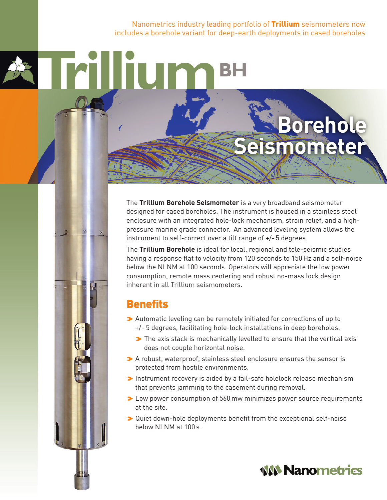Nanometrics industry leading portfolio of **Trillium** seismometers now includes a borehole variant for deep-earth deployments in cased boreholes

## **Borehole** eismometer

The **Trillium Borehole Seismometer** is a very broadband seismometer designed for cased boreholes. The instrument is housed in a stainless steel enclosure with an integrated hole-lock mechanism, strain relief, and a highpressure marine grade connector. An advanced leveling system allows the instrument to self-correct over a tilt range of +/- 5 degrees.

The **Trillium Borehole** is ideal for local, regional and tele-seismic studies having a response flat to velocity from 120 seconds to 150 Hz and a self-noise below the NLNM at 100 seconds. Operators will appreciate the low power consumption, remote mass centering and robust no-mass lock design inherent in all Trillium seismometers.

## **Benefits**

**MIN** 

- >Automatic leveling can be remotely initiated for corrections of up to +/- 5 degrees, facilitating hole-lock installations in deep boreholes.
	- > The axis stack is mechanically levelled to ensure that the vertical axis does not couple horizontal noise.
- >A robust, waterproof, stainless steel enclosure ensures the sensor is protected from hostile environments.
- >Instrument recovery is aided by a fail-safe holelock release mechanism that prevents jamming to the casement during removal.
- **►** Low power consumption of 560 mw minimizes power source requirements at the site.
- ◆ Quiet down-hole deployments benefit from the exceptional self-noise below NLNM at 100 s.